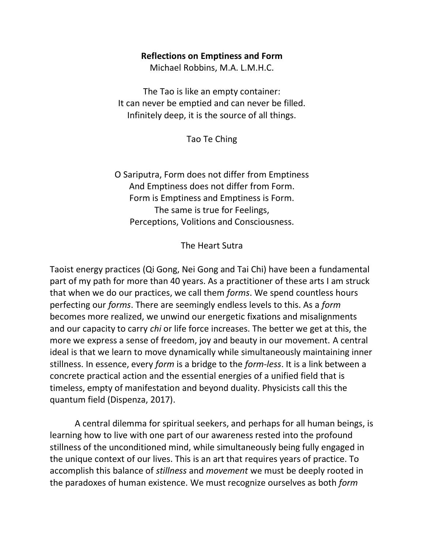#### **Reflections on Emptiness and Form**

Michael Robbins, M.A. L.M.H.C.

The Tao is like an empty container: It can never be emptied and can never be filled. Infinitely deep, it is the source of all things.

Tao Te Ching

O Sariputra, Form does not differ from Emptiness And Emptiness does not differ from Form. Form is Emptiness and Emptiness is Form. The same is true for Feelings, Perceptions, Volitions and Consciousness.

The Heart Sutra

Taoist energy practices (Qi Gong, Nei Gong and Tai Chi) have been a fundamental part of my path for more than 40 years. As a practitioner of these arts I am struck that when we do our practices, we call them *forms*. We spend countless hours perfecting our *forms*. There are seemingly endless levels to this. As a *form*  becomes more realized, we unwind our energetic fixations and misalignments and our capacity to carry *chi* or life force increases. The better we get at this, the more we express a sense of freedom, joy and beauty in our movement. A central ideal is that we learn to move dynamically while simultaneously maintaining inner stillness. In essence, every *form* is a bridge to the *form-less*. It is a link between a concrete practical action and the essential energies of a unified field that is timeless, empty of manifestation and beyond duality. Physicists call this the quantum field (Dispenza, 2017).

A central dilemma for spiritual seekers, and perhaps for all human beings, is learning how to live with one part of our awareness rested into the profound stillness of the unconditioned mind, while simultaneously being fully engaged in the unique context of our lives. This is an art that requires years of practice. To accomplish this balance of *stillness* and *movement* we must be deeply rooted in the paradoxes of human existence. We must recognize ourselves as both *form*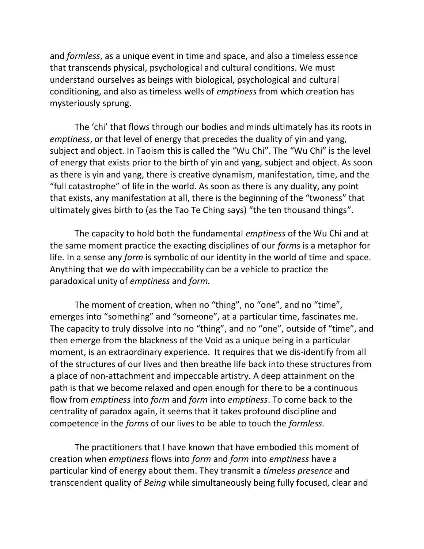and *formless*, as a unique event in time and space, and also a timeless essence that transcends physical, psychological and cultural conditions. We must understand ourselves as beings with biological, psychological and cultural conditioning, and also as timeless wells of *emptiness* from which creation has mysteriously sprung.

The 'chi' that flows through our bodies and minds ultimately has its roots in *emptiness*, or that level of energy that precedes the duality of yin and yang, subject and object. In Taoism this is called the "Wu Chi". The "Wu Chi" is the level of energy that exists prior to the birth of yin and yang, subject and object. As soon as there is yin and yang, there is creative dynamism, manifestation, time, and the "full catastrophe" of life in the world. As soon as there is any duality, any point that exists, any manifestation at all, there is the beginning of the "twoness" that ultimately gives birth to (as the Tao Te Ching says) "the ten thousand things".

The capacity to hold both the fundamental *emptiness* of the Wu Chi and at the same moment practice the exacting disciplines of our *forms* is a metaphor for life. In a sense any *form* is symbolic of our identity in the world of time and space. Anything that we do with impeccability can be a vehicle to practice the paradoxical unity of *emptiness* and *form.*

The moment of creation, when no "thing", no "one", and no "time", emerges into "something" and "someone", at a particular time, fascinates me. The capacity to truly dissolve into no "thing", and no "one", outside of "time", and then emerge from the blackness of the Void as a unique being in a particular moment, is an extraordinary experience. It requires that we dis-identify from all of the structures of our lives and then breathe life back into these structures from a place of non-attachment and impeccable artistry. A deep attainment on the path is that we become relaxed and open enough for there to be a continuous flow from *emptiness* into *form* and *form* into *emptiness*. To come back to the centrality of paradox again, it seems that it takes profound discipline and competence in the *forms* of our lives to be able to touch the *formless.*

The practitioners that I have known that have embodied this moment of creation when *emptiness* flows into *form* and *form* into *emptiness* have a particular kind of energy about them. They transmit a *timeless presence* and transcendent quality of *Being* while simultaneously being fully focused, clear and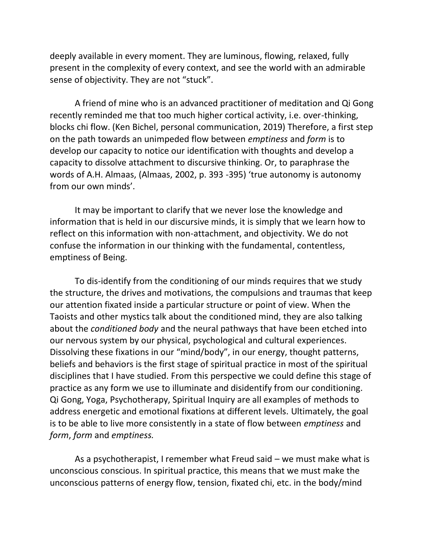deeply available in every moment. They are luminous, flowing, relaxed, fully present in the complexity of every context, and see the world with an admirable sense of objectivity. They are not "stuck".

A friend of mine who is an advanced practitioner of meditation and Qi Gong recently reminded me that too much higher cortical activity, i.e. over-thinking, blocks chi flow. (Ken Bichel, personal communication, 2019) Therefore, a first step on the path towards an unimpeded flow between *emptiness* and *form* is to develop our capacity to notice our identification with thoughts and develop a capacity to dissolve attachment to discursive thinking. Or, to paraphrase the words of A.H. Almaas, (Almaas, 2002, p. 393 -395) 'true autonomy is autonomy from our own minds'.

It may be important to clarify that we never lose the knowledge and information that is held in our discursive minds, it is simply that we learn how to reflect on this information with non-attachment, and objectivity. We do not confuse the information in our thinking with the fundamental, contentless, emptiness of Being.

To dis-identify from the conditioning of our minds requires that we study the structure, the drives and motivations, the compulsions and traumas that keep our attention fixated inside a particular structure or point of view. When the Taoists and other mystics talk about the conditioned mind, they are also talking about the *conditioned body* and the neural pathways that have been etched into our nervous system by our physical, psychological and cultural experiences. Dissolving these fixations in our "mind/body", in our energy, thought patterns, beliefs and behaviors is the first stage of spiritual practice in most of the spiritual disciplines that I have studied. From this perspective we could define this stage of practice as any form we use to illuminate and disidentify from our conditioning. Qi Gong, Yoga, Psychotherapy, Spiritual Inquiry are all examples of methods to address energetic and emotional fixations at different levels. Ultimately, the goal is to be able to live more consistently in a state of flow between *emptiness* and *form*, *form* and *emptiness.*

As a psychotherapist, I remember what Freud said – we must make what is unconscious conscious. In spiritual practice, this means that we must make the unconscious patterns of energy flow, tension, fixated chi, etc. in the body/mind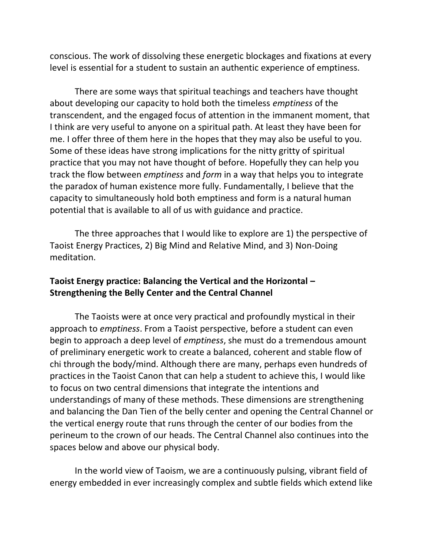conscious. The work of dissolving these energetic blockages and fixations at every level is essential for a student to sustain an authentic experience of emptiness.

There are some ways that spiritual teachings and teachers have thought about developing our capacity to hold both the timeless *emptiness* of the transcendent, and the engaged focus of attention in the immanent moment, that I think are very useful to anyone on a spiritual path. At least they have been for me. I offer three of them here in the hopes that they may also be useful to you. Some of these ideas have strong implications for the nitty gritty of spiritual practice that you may not have thought of before. Hopefully they can help you track the flow between *emptiness* and *form* in a way that helps you to integrate the paradox of human existence more fully. Fundamentally, I believe that the capacity to simultaneously hold both emptiness and form is a natural human potential that is available to all of us with guidance and practice.

The three approaches that I would like to explore are 1) the perspective of Taoist Energy Practices, 2) Big Mind and Relative Mind, and 3) Non-Doing meditation.

# **Taoist Energy practice: Balancing the Vertical and the Horizontal – Strengthening the Belly Center and the Central Channel**

The Taoists were at once very practical and profoundly mystical in their approach to *emptiness*. From a Taoist perspective, before a student can even begin to approach a deep level of *emptiness*, she must do a tremendous amount of preliminary energetic work to create a balanced, coherent and stable flow of chi through the body/mind. Although there are many, perhaps even hundreds of practices in the Taoist Canon that can help a student to achieve this, I would like to focus on two central dimensions that integrate the intentions and understandings of many of these methods. These dimensions are strengthening and balancing the Dan Tien of the belly center and opening the Central Channel or the vertical energy route that runs through the center of our bodies from the perineum to the crown of our heads. The Central Channel also continues into the spaces below and above our physical body.

In the world view of Taoism, we are a continuously pulsing, vibrant field of energy embedded in ever increasingly complex and subtle fields which extend like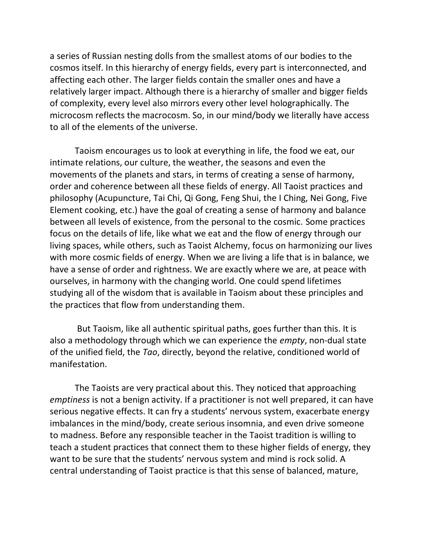a series of Russian nesting dolls from the smallest atoms of our bodies to the cosmos itself. In this hierarchy of energy fields, every part is interconnected, and affecting each other. The larger fields contain the smaller ones and have a relatively larger impact. Although there is a hierarchy of smaller and bigger fields of complexity, every level also mirrors every other level holographically. The microcosm reflects the macrocosm. So, in our mind/body we literally have access to all of the elements of the universe.

Taoism encourages us to look at everything in life, the food we eat, our intimate relations, our culture, the weather, the seasons and even the movements of the planets and stars, in terms of creating a sense of harmony, order and coherence between all these fields of energy. All Taoist practices and philosophy (Acupuncture, Tai Chi, Qi Gong, Feng Shui, the I Ching, Nei Gong, Five Element cooking, etc.) have the goal of creating a sense of harmony and balance between all levels of existence, from the personal to the cosmic. Some practices focus on the details of life, like what we eat and the flow of energy through our living spaces, while others, such as Taoist Alchemy, focus on harmonizing our lives with more cosmic fields of energy. When we are living a life that is in balance, we have a sense of order and rightness. We are exactly where we are, at peace with ourselves, in harmony with the changing world. One could spend lifetimes studying all of the wisdom that is available in Taoism about these principles and the practices that flow from understanding them.

But Taoism, like all authentic spiritual paths, goes further than this. It is also a methodology through which we can experience the *empty*, non-dual state of the unified field, the *Tao*, directly, beyond the relative, conditioned world of manifestation.

The Taoists are very practical about this. They noticed that approaching *emptiness* is not a benign activity. If a practitioner is not well prepared, it can have serious negative effects. It can fry a students' nervous system, exacerbate energy imbalances in the mind/body, create serious insomnia, and even drive someone to madness. Before any responsible teacher in the Taoist tradition is willing to teach a student practices that connect them to these higher fields of energy, they want to be sure that the students' nervous system and mind is rock solid. A central understanding of Taoist practice is that this sense of balanced, mature,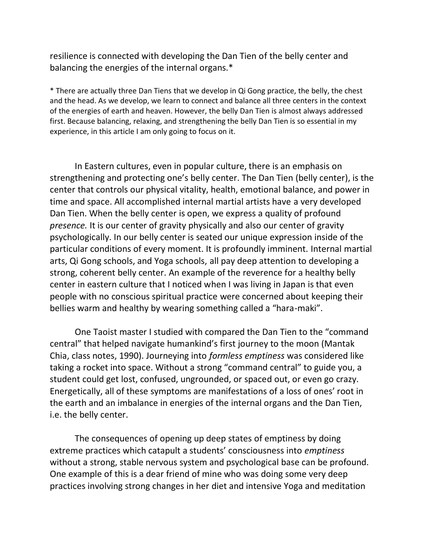resilience is connected with developing the Dan Tien of the belly center and balancing the energies of the internal organs.\*

\* There are actually three Dan Tiens that we develop in Qi Gong practice, the belly, the chest and the head. As we develop, we learn to connect and balance all three centers in the context of the energies of earth and heaven. However, the belly Dan Tien is almost always addressed first. Because balancing, relaxing, and strengthening the belly Dan Tien is so essential in my experience, in this article I am only going to focus on it.

In Eastern cultures, even in popular culture, there is an emphasis on strengthening and protecting one's belly center. The Dan Tien (belly center), is the center that controls our physical vitality, health, emotional balance, and power in time and space. All accomplished internal martial artists have a very developed Dan Tien. When the belly center is open, we express a quality of profound *presence.* It is our center of gravity physically and also our center of gravity psychologically. In our belly center is seated our unique expression inside of the particular conditions of every moment. It is profoundly imminent. Internal martial arts, Qi Gong schools, and Yoga schools, all pay deep attention to developing a strong, coherent belly center. An example of the reverence for a healthy belly center in eastern culture that I noticed when I was living in Japan is that even people with no conscious spiritual practice were concerned about keeping their bellies warm and healthy by wearing something called a "hara-maki".

One Taoist master I studied with compared the Dan Tien to the "command central" that helped navigate humankind's first journey to the moon (Mantak Chia, class notes, 1990). Journeying into *formless emptiness* was considered like taking a rocket into space. Without a strong "command central" to guide you, a student could get lost, confused, ungrounded, or spaced out, or even go crazy. Energetically, all of these symptoms are manifestations of a loss of ones' root in the earth and an imbalance in energies of the internal organs and the Dan Tien, i.e. the belly center.

The consequences of opening up deep states of emptiness by doing extreme practices which catapult a students' consciousness into *emptiness*  without a strong, stable nervous system and psychological base can be profound. One example of this is a dear friend of mine who was doing some very deep practices involving strong changes in her diet and intensive Yoga and meditation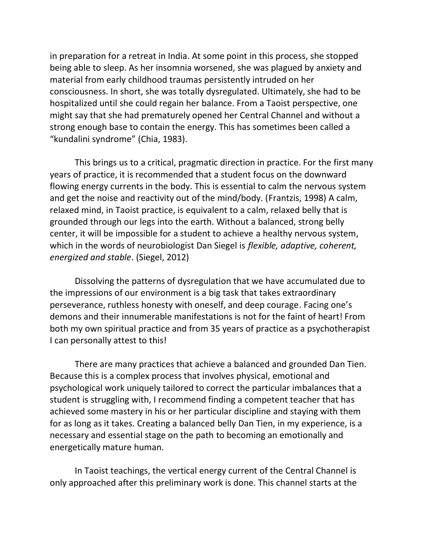in preparation for a retreat in India. At some point in this process, she stopped being able to sleep. As her insomnia worsened, she was plagued by anxiety and material from early childhood traumas persistently intruded on her consciousness. In short, she was totally dysregulated. Ultimately, she had to be hospitalized until she could regain her balance. From a Taoist perspective, one might say that she had prematurely opened her Central Channel and without a strong enough base to contain the energy. This has sometimes been called a "kundalini syndrome" (Chia, 1983).

This brings us to a critical, pragmatic direction in practice. For the first many years of practice, it is recommended that a student focus on the downward flowing energy currents in the body. This is essential to calm the nervous system and get the noise and reactivity out of the mind/body. (Frantzis, 1998) A calm, relaxed mind, in Taoist practice, is equivalent to a calm, relaxed belly that is grounded through our legs into the earth. Without a balanced, strong belly center, it will be impossible for a student to achieve a healthy nervous system, which in the words of neurobiologist Dan Siegel is *flexible, adaptive, coherent, energized and stable*. (Siegel, 2012)

Dissolving the patterns of dysregulation that we have accumulated due to the impressions of our environment is a big task that takes extraordinary perseverance, ruthless honesty with oneself, and deep courage. Facing one's demons and their innumerable manifestations is not for the faint of heart! From both my own spiritual practice and from 35 years of practice as a psychotherapist I can personally attest to this!

There are many practices that achieve a balanced and grounded Dan Tien. Because this is a complex process that involves physical, emotional and psychological work uniquely tailored to correct the particular imbalances that a student is struggling with, I recommend finding a competent teacher that has achieved some mastery in his or her particular discipline and staying with them for as long as it takes. Creating a balanced belly Dan Tien, in my experience, is a necessary and essential stage on the path to becoming an emotionally and energetically mature human.

In Taoist teachings, the vertical energy current of the Central Channel is only approached after this preliminary work is done. This channel starts at the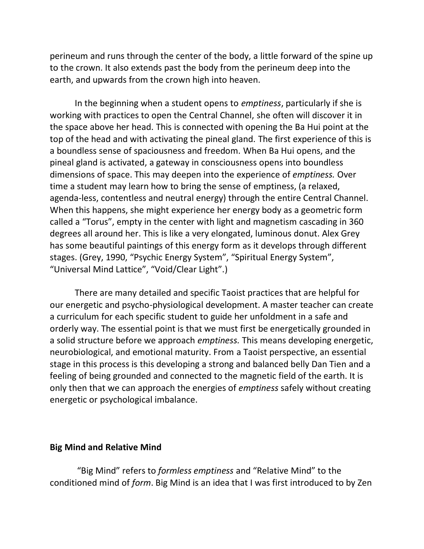perineum and runs through the center of the body, a little forward of the spine up to the crown. It also extends past the body from the perineum deep into the earth, and upwards from the crown high into heaven.

In the beginning when a student opens to *emptiness*, particularly if she is working with practices to open the Central Channel, she often will discover it in the space above her head. This is connected with opening the Ba Hui point at the top of the head and with activating the pineal gland. The first experience of this is a boundless sense of spaciousness and freedom. When Ba Hui opens, and the pineal gland is activated, a gateway in consciousness opens into boundless dimensions of space. This may deepen into the experience of *emptiness.* Over time a student may learn how to bring the sense of emptiness, (a relaxed, agenda-less, contentless and neutral energy) through the entire Central Channel. When this happens, she might experience her energy body as a geometric form called a "Torus", empty in the center with light and magnetism cascading in 360 degrees all around her. This is like a very elongated, luminous donut. Alex Grey has some beautiful paintings of this energy form as it develops through different stages. (Grey, 1990, "Psychic Energy System", "Spiritual Energy System", "Universal Mind Lattice", "Void/Clear Light".)

There are many detailed and specific Taoist practices that are helpful for our energetic and psycho-physiological development. A master teacher can create a curriculum for each specific student to guide her unfoldment in a safe and orderly way. The essential point is that we must first be energetically grounded in a solid structure before we approach *emptiness.* This means developing energetic, neurobiological, and emotional maturity. From a Taoist perspective, an essential stage in this process is this developing a strong and balanced belly Dan Tien and a feeling of being grounded and connected to the magnetic field of the earth. It is only then that we can approach the energies of *emptiness* safely without creating energetic or psychological imbalance.

#### **Big Mind and Relative Mind**

"Big Mind" refers to *formless emptiness* and "Relative Mind" to the conditioned mind of *form*. Big Mind is an idea that I was first introduced to by Zen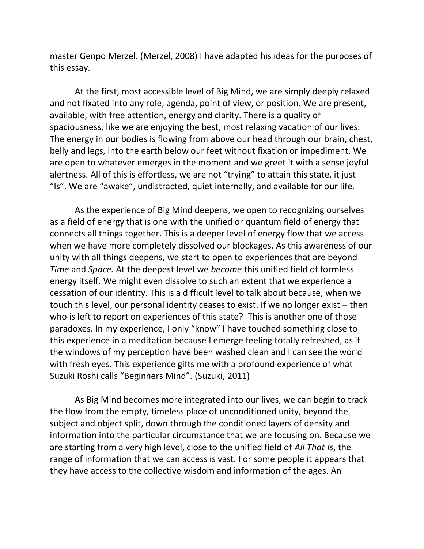master Genpo Merzel. (Merzel, 2008) I have adapted his ideas for the purposes of this essay.

At the first, most accessible level of Big Mind, we are simply deeply relaxed and not fixated into any role, agenda, point of view, or position. We are present, available, with free attention, energy and clarity. There is a quality of spaciousness, like we are enjoying the best, most relaxing vacation of our lives. The energy in our bodies is flowing from above our head through our brain, chest, belly and legs, into the earth below our feet without fixation or impediment. We are open to whatever emerges in the moment and we greet it with a sense joyful alertness. All of this is effortless, we are not "trying" to attain this state, it just "Is". We are "awake", undistracted, quiet internally, and available for our life.

As the experience of Big Mind deepens, we open to recognizing ourselves as a field of energy that is one with the unified or quantum field of energy that connects all things together. This is a deeper level of energy flow that we access when we have more completely dissolved our blockages. As this awareness of our unity with all things deepens, we start to open to experiences that are beyond *Time* and *Space.* At the deepest level we *become* this unified field of formless energy itself. We might even dissolve to such an extent that we experience a cessation of our identity. This is a difficult level to talk about because, when we touch this level, our personal identity ceases to exist. If we no longer exist – then who is left to report on experiences of this state? This is another one of those paradoxes. In my experience, I only "know" I have touched something close to this experience in a meditation because I emerge feeling totally refreshed, as if the windows of my perception have been washed clean and I can see the world with fresh eyes. This experience gifts me with a profound experience of what Suzuki Roshi calls "Beginners Mind". (Suzuki, 2011)

As Big Mind becomes more integrated into our lives, we can begin to track the flow from the empty, timeless place of unconditioned unity, beyond the subject and object split, down through the conditioned layers of density and information into the particular circumstance that we are focusing on. Because we are starting from a very high level, close to the unified field of *All That Is*, the range of information that we can access is vast. For some people it appears that they have access to the collective wisdom and information of the ages. An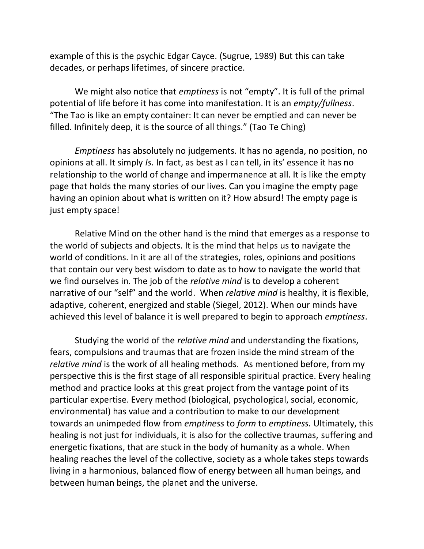example of this is the psychic Edgar Cayce. (Sugrue, 1989) But this can take decades, or perhaps lifetimes, of sincere practice.

We might also notice that *emptiness* is not "empty". It is full of the primal potential of life before it has come into manifestation. It is an *empty/fullness*. "The Tao is like an empty container: It can never be emptied and can never be filled. Infinitely deep, it is the source of all things." (Tao Te Ching)

*Emptiness* has absolutely no judgements. It has no agenda, no position, no opinions at all. It simply *Is.* In fact, as best as I can tell, in its' essence it has no relationship to the world of change and impermanence at all. It is like the empty page that holds the many stories of our lives. Can you imagine the empty page having an opinion about what is written on it? How absurd! The empty page is just empty space!

Relative Mind on the other hand is the mind that emerges as a response to the world of subjects and objects. It is the mind that helps us to navigate the world of conditions. In it are all of the strategies, roles, opinions and positions that contain our very best wisdom to date as to how to navigate the world that we find ourselves in. The job of the *relative mind* is to develop a coherent narrative of our "self" and the world. When *relative mind* is healthy, it is flexible, adaptive, coherent, energized and stable (Siegel, 2012). When our minds have achieved this level of balance it is well prepared to begin to approach *emptiness*.

Studying the world of the *relative mind* and understanding the fixations, fears, compulsions and traumas that are frozen inside the mind stream of the *relative mind* is the work of all healing methods. As mentioned before, from my perspective this is the first stage of all responsible spiritual practice. Every healing method and practice looks at this great project from the vantage point of its particular expertise. Every method (biological, psychological, social, economic, environmental) has value and a contribution to make to our development towards an unimpeded flow from *emptiness* to *form* to *emptiness.* Ultimately, this healing is not just for individuals, it is also for the collective traumas, suffering and energetic fixations, that are stuck in the body of humanity as a whole. When healing reaches the level of the collective, society as a whole takes steps towards living in a harmonious, balanced flow of energy between all human beings, and between human beings, the planet and the universe.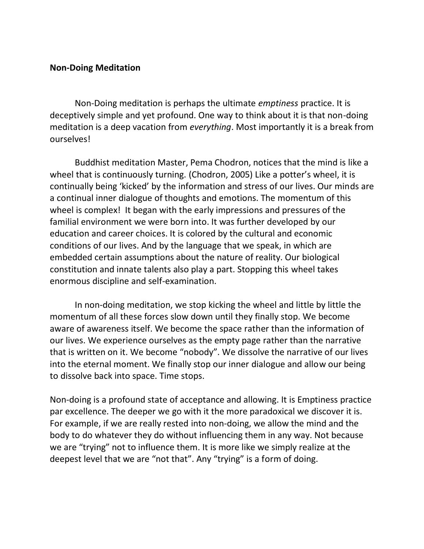### **Non-Doing Meditation**

Non-Doing meditation is perhaps the ultimate *emptiness* practice. It is deceptively simple and yet profound. One way to think about it is that non-doing meditation is a deep vacation from *everything*. Most importantly it is a break from ourselves!

Buddhist meditation Master, Pema Chodron, notices that the mind is like a wheel that is continuously turning. (Chodron, 2005) Like a potter's wheel, it is continually being 'kicked' by the information and stress of our lives. Our minds are a continual inner dialogue of thoughts and emotions. The momentum of this wheel is complex! It began with the early impressions and pressures of the familial environment we were born into. It was further developed by our education and career choices. It is colored by the cultural and economic conditions of our lives. And by the language that we speak, in which are embedded certain assumptions about the nature of reality. Our biological constitution and innate talents also play a part. Stopping this wheel takes enormous discipline and self-examination.

In non-doing meditation, we stop kicking the wheel and little by little the momentum of all these forces slow down until they finally stop. We become aware of awareness itself. We become the space rather than the information of our lives. We experience ourselves as the empty page rather than the narrative that is written on it. We become "nobody". We dissolve the narrative of our lives into the eternal moment. We finally stop our inner dialogue and allow our being to dissolve back into space. Time stops.

Non-doing is a profound state of acceptance and allowing. It is Emptiness practice par excellence. The deeper we go with it the more paradoxical we discover it is. For example, if we are really rested into non-doing, we allow the mind and the body to do whatever they do without influencing them in any way. Not because we are "trying" not to influence them. It is more like we simply realize at the deepest level that we are "not that". Any "trying" is a form of doing.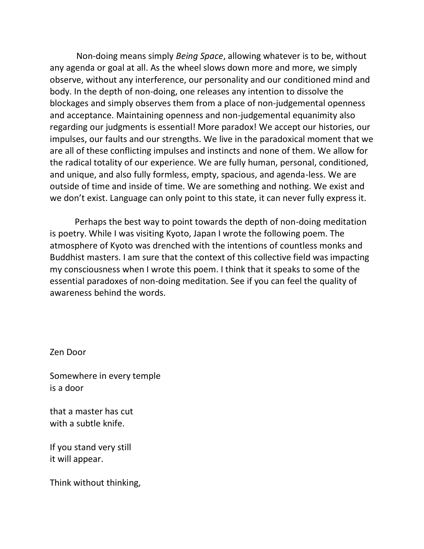Non-doing means simply *Being Space*, allowing whatever is to be, without any agenda or goal at all. As the wheel slows down more and more, we simply observe, without any interference, our personality and our conditioned mind and body. In the depth of non-doing, one releases any intention to dissolve the blockages and simply observes them from a place of non-judgemental openness and acceptance. Maintaining openness and non-judgemental equanimity also regarding our judgments is essential! More paradox! We accept our histories, our impulses, our faults and our strengths. We live in the paradoxical moment that we are all of these conflicting impulses and instincts and none of them. We allow for the radical totality of our experience. We are fully human, personal, conditioned, and unique, and also fully formless, empty, spacious, and agenda-less. We are outside of time and inside of time. We are something and nothing. We exist and we don't exist. Language can only point to this state, it can never fully express it.

Perhaps the best way to point towards the depth of non-doing meditation is poetry. While I was visiting Kyoto, Japan I wrote the following poem. The atmosphere of Kyoto was drenched with the intentions of countless monks and Buddhist masters. I am sure that the context of this collective field was impacting my consciousness when I wrote this poem. I think that it speaks to some of the essential paradoxes of non-doing meditation. See if you can feel the quality of awareness behind the words.

Zen Door

Somewhere in every temple is a door

that a master has cut with a subtle knife.

If you stand very still it will appear.

Think without thinking,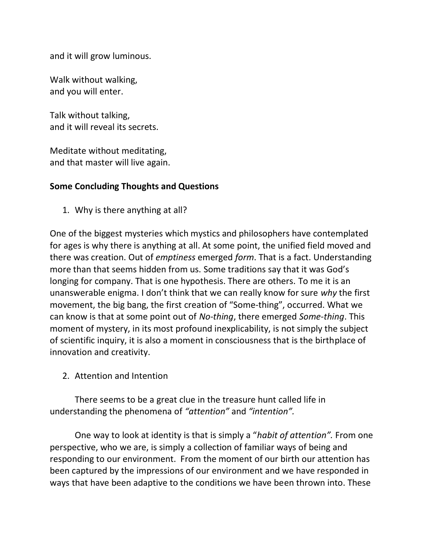and it will grow luminous.

Walk without walking, and you will enter.

Talk without talking, and it will reveal its secrets.

Meditate without meditating, and that master will live again.

# **Some Concluding Thoughts and Questions**

1. Why is there anything at all?

One of the biggest mysteries which mystics and philosophers have contemplated for ages is why there is anything at all. At some point, the unified field moved and there was creation. Out of *emptiness* emerged *form*. That is a fact. Understanding more than that seems hidden from us. Some traditions say that it was God's longing for company. That is one hypothesis. There are others. To me it is an unanswerable enigma. I don't think that we can really know for sure *why* the first movement, the big bang, the first creation of "Some-thing", occurred. What we can know is that at some point out of *No-thing*, there emerged *Some-thing*. This moment of mystery, in its most profound inexplicability, is not simply the subject of scientific inquiry, it is also a moment in consciousness that is the birthplace of innovation and creativity.

2. Attention and Intention

There seems to be a great clue in the treasure hunt called life in understanding the phenomena of *"attention"* and *"intention".*

One way to look at identity is that is simply a "*habit of attention".* From one perspective, who we are, is simply a collection of familiar ways of being and responding to our environment. From the moment of our birth our attention has been captured by the impressions of our environment and we have responded in ways that have been adaptive to the conditions we have been thrown into. These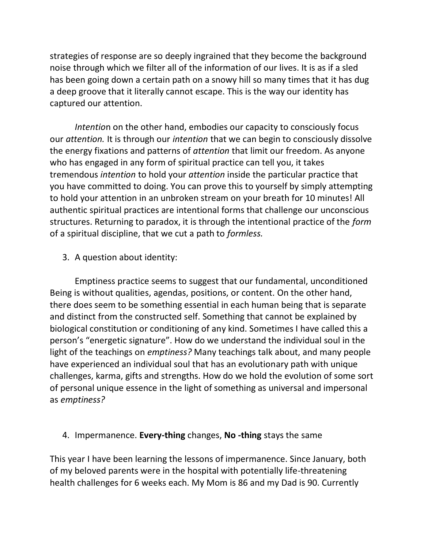strategies of response are so deeply ingrained that they become the background noise through which we filter all of the information of our lives. It is as if a sled has been going down a certain path on a snowy hill so many times that it has dug a deep groove that it literally cannot escape. This is the way our identity has captured our attention.

*Intentio*n on the other hand, embodies our capacity to consciously focus our *attention.* It is through our *intention* that we can begin to consciously dissolve the energy fixations and patterns of *attention* that limit our freedom. As anyone who has engaged in any form of spiritual practice can tell you, it takes tremendous *intention* to hold your *attention* inside the particular practice that you have committed to doing. You can prove this to yourself by simply attempting to hold your attention in an unbroken stream on your breath for 10 minutes! All authentic spiritual practices are intentional forms that challenge our unconscious structures. Returning to paradox, it is through the intentional practice of the *form*  of a spiritual discipline, that we cut a path to *formless.*

3. A question about identity:

Emptiness practice seems to suggest that our fundamental, unconditioned Being is without qualities, agendas, positions, or content. On the other hand, there does seem to be something essential in each human being that is separate and distinct from the constructed self. Something that cannot be explained by biological constitution or conditioning of any kind. Sometimes I have called this a person's "energetic signature". How do we understand the individual soul in the light of the teachings on *emptiness?* Many teachings talk about, and many people have experienced an individual soul that has an evolutionary path with unique challenges, karma, gifts and strengths. How do we hold the evolution of some sort of personal unique essence in the light of something as universal and impersonal as *emptiness?*

### 4. Impermanence. **Every-thing** changes, **No -thing** stays the same

This year I have been learning the lessons of impermanence. Since January, both of my beloved parents were in the hospital with potentially life-threatening health challenges for 6 weeks each. My Mom is 86 and my Dad is 90. Currently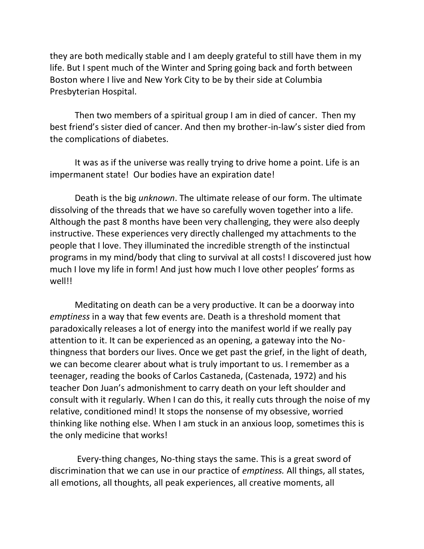they are both medically stable and I am deeply grateful to still have them in my life. But I spent much of the Winter and Spring going back and forth between Boston where I live and New York City to be by their side at Columbia Presbyterian Hospital.

Then two members of a spiritual group I am in died of cancer. Then my best friend's sister died of cancer. And then my brother-in-law's sister died from the complications of diabetes.

It was as if the universe was really trying to drive home a point. Life is an impermanent state! Our bodies have an expiration date!

Death is the big *unknown*. The ultimate release of our form. The ultimate dissolving of the threads that we have so carefully woven together into a life. Although the past 8 months have been very challenging, they were also deeply instructive. These experiences very directly challenged my attachments to the people that I love. They illuminated the incredible strength of the instinctual programs in my mind/body that cling to survival at all costs! I discovered just how much I love my life in form! And just how much I love other peoples' forms as well!!

Meditating on death can be a very productive. It can be a doorway into *emptiness* in a way that few events are. Death is a threshold moment that paradoxically releases a lot of energy into the manifest world if we really pay attention to it. It can be experienced as an opening, a gateway into the Nothingness that borders our lives. Once we get past the grief, in the light of death, we can become clearer about what is truly important to us. I remember as a teenager, reading the books of Carlos Castaneda, (Castenada, 1972) and his teacher Don Juan's admonishment to carry death on your left shoulder and consult with it regularly. When I can do this, it really cuts through the noise of my relative, conditioned mind! It stops the nonsense of my obsessive, worried thinking like nothing else. When I am stuck in an anxious loop, sometimes this is the only medicine that works!

Every-thing changes, No-thing stays the same. This is a great sword of discrimination that we can use in our practice of *emptiness.* All things, all states, all emotions, all thoughts, all peak experiences, all creative moments, all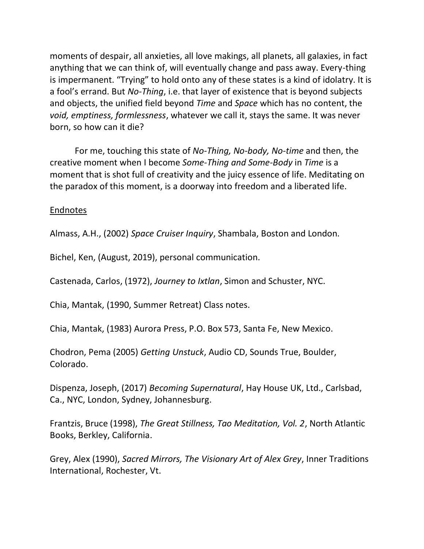moments of despair, all anxieties, all love makings, all planets, all galaxies, in fact anything that we can think of, will eventually change and pass away. Every-thing is impermanent. "Trying" to hold onto any of these states is a kind of idolatry. It is a fool's errand. But *No-Thing*, i.e. that layer of existence that is beyond subjects and objects, the unified field beyond *Time* and *Space* which has no content, the *void, emptiness, formlessness*, whatever we call it, stays the same. It was never born, so how can it die?

For me, touching this state of *No-Thing, No-body, No-time* and then, the creative moment when I become *Some-Thing and Some-Body* in *Time* is a moment that is shot full of creativity and the juicy essence of life. Meditating on the paradox of this moment, is a doorway into freedom and a liberated life.

# Endnotes

Almass, A.H., (2002) *Space Cruiser Inquiry*, Shambala, Boston and London.

Bichel, Ken, (August, 2019), personal communication.

Castenada, Carlos, (1972), *Journey to Ixtlan*, Simon and Schuster, NYC.

Chia, Mantak, (1990, Summer Retreat) Class notes.

Chia, Mantak, (1983) Aurora Press, P.O. Box 573, Santa Fe, New Mexico.

Chodron, Pema (2005) *Getting Unstuck*, Audio CD, Sounds True, Boulder, Colorado.

Dispenza, Joseph, (2017) *Becoming Supernatural*, Hay House UK, Ltd., Carlsbad, Ca., NYC, London, Sydney, Johannesburg.

Frantzis, Bruce (1998), *The Great Stillness, Tao Meditation, Vol. 2*, North Atlantic Books, Berkley, California.

Grey, Alex (1990), *Sacred Mirrors, The Visionary Art of Alex Grey*, Inner Traditions International, Rochester, Vt.